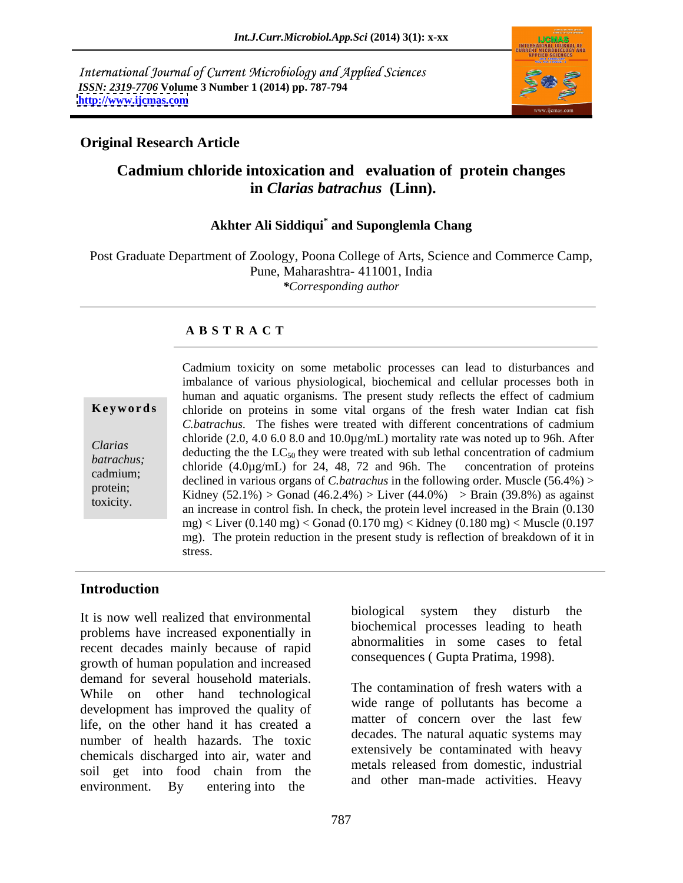International Journal of Current Microbiology and Applied Sciences *ISSN: 2319-7706* **Volume 3 Number 1 (2014) pp. 787-794 <http://www.ijcmas.com>**



## **Original Research Article**

# **Cadmium chloride intoxication and evaluation of protein changes in** *Clarias batrachus* **(Linn).**

## **Akhter Ali Siddiqui\* and Suponglemla Chang**

Post Graduate Department of Zoology, Poona College of Arts, Science and Commerce Camp, Pune, Maharashtra- 411001, India *\*Corresponding author*

### **A B S T R A C T**

**Keywords** chloride on proteins in some vital organs of the fresh water Indian cat fish *Clarias*<br>
deducting the the LC<sub>50</sub> they were treated with sub lethal concentration of cadmium *batrachus;* chloride (4.0µg/mL) for 24, 48, 72 and 96h. The concentration of proteins cadmium;<br>declined in various organs of *C.batrachus* in the following order. Muscle (56.4%) > protein;<br>
Kidney  $(52.1\%) >$  Gonad  $(46.2.4\%) >$  Liver  $(44.0\%) >$  Brain  $(39.8\%)$  as against Cadmium toxicity on some metabolic processes can lead to disturbances and<br>
imbalance of various physiological, biochemical and cellular processes both in<br>
human and aquatic organisms. The present study reflects the effect imbalance of various physiological, biochemical and cellular processes both in human and aquatic organisms. The present study reflects the effect of cadmium *C.batrachus.* The fishes were treated with different concentrations of cadmium chloride (2.0, 4.0 6.0 8.0 and 10.0 $\mu$ g/mL) mortality rate was noted up to 96h. After an increase in control fish. In check, the protein level increased in the Brain (0.130 mg) < Liver (0.140 mg) < Gonad (0.170 mg) < Kidney (0.180 mg) < Muscle (0.197 mg). The protein reduction in the present study is reflection of breakdown of it in stress.

### **Introduction**

problems have increased exponentially in recent decades mainly because of rapid growth of human population and increased demand for several household materials. While on other hand technological development has improved the quality of life, on the other hand it has created a number of health hazards. The toxic chemicals discharged into air, water and soil get into food chain from the little deased from domestic, industrial environment. By entering into the

It is now well realized that environmental biological system they disturb the biological system they disturb the biochemical processes leading to heath abnormalities in some cases to fetal consequences ( Gupta Pratima, 1998).

> The contamination of fresh waters with a wide range of pollutants has become a matter of concern over the last few decades. The natural aquatic systems may extensively be contaminated with heavy metals released from domestic, industrial and other man-made activities. Heavy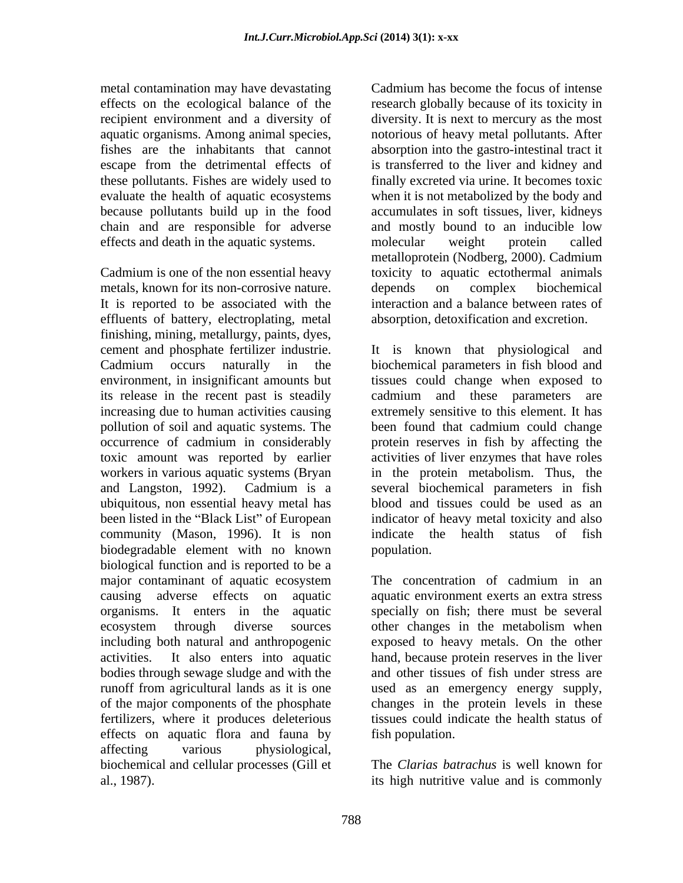metal contamination may have devastating recipient environment and a diversity of chain and are responsible for adverse effects and death in the aquatic systems. The molecular weight protein called

Cadmium is one of the non essential heavy toxicity to aquatic ectothermal animals metals, known for its non-corrosive nature.  $\qquad$  depends on complex biochemical It is reported to be associated with the effluents of battery, electroplating, metal finishing, mining, metallurgy, paints, dyes, pollution of soil and aquatic systems. The been found that cadmium could change workers in various aquatic systems (Bryan been listed in the "Black List" of European biodegradable element with no known biological function and is reported to be a major contaminant of aquatic ecosystem The concentration of cadmium in an ecosystem through diverse sources of the major components of the phosphate<br>fertilizers, where it produces deleterious effects on aquatic flora and fauna by affecting various physiological, biochemical and cellular processes (Gill et

effects on the ecological balance of the research globally because of its toxicity in aquatic organisms. Among animal species, notorious of heavy metal pollutants. After fishes are the inhabitants that cannot absorption into the gastro-intestinal tract it escape from the detrimental effects of is transferred to the liver and kidney and these pollutants. Fishes are widely used to finally excreted via urine. It becomes toxic evaluate the health of aquatic ecosystems when it is not metabolized by the body and because pollutants build up in the food accumulates in soft tissues, liver, kidneys Cadmium has become the focus of intense diversity. It is next to mercury as the most and mostly bound to an inducible low molecular weight protein called metalloprotein (Nodberg, 2000). Cadmium depends on complex biochemical interaction and a balance between rates of absorption, detoxification and excretion.

cement and phosphate fertilizer industrie. It is known that physiological and Cadmium occurs naturally in the biochemical parameters in fish blood and environment, in insignificant amounts but tissues could change when exposed to its release in the recent past is steadily cadmium and these parameters are increasing due to human activities causing extremely sensitive to this element. It has occurrence of cadmium in considerably protein reserves in fish by affecting the toxic amount was reported by earlier activities of liver enzymes that have roles and Langston, 1992). Cadmium is a several biochemical parameters in fish ubiquitous, non essential heavy metal has blood and tissues could be used as an community (Mason, 1996). It is non indicate the health status of fish been found that cadmium could change in the protein metabolism. Thus, the indicator of heavy metal toxicity and also population.

causing adverse effects on aquatic aquatic environment exerts an extra stress organisms. It enters in the aquatic specially on fish; there must be several including both natural and anthropogenic exposed to heavy metals. On the other activities. It also enters into aquatic hand, because protein reserves in the liver bodies through sewage sludge and with the and other tissues of fish under stress are runoff from agricultural lands as it is one used as an emergency energy supply, fertilizers, where it produces deleterious tissues could indicate the health status of The concentration of cadmium in an other changes in the metabolism when changes in the protein levels in these fish population.

al., 1987). its high nutritive value and is commonlyThe *Clarias batrachus* is well known for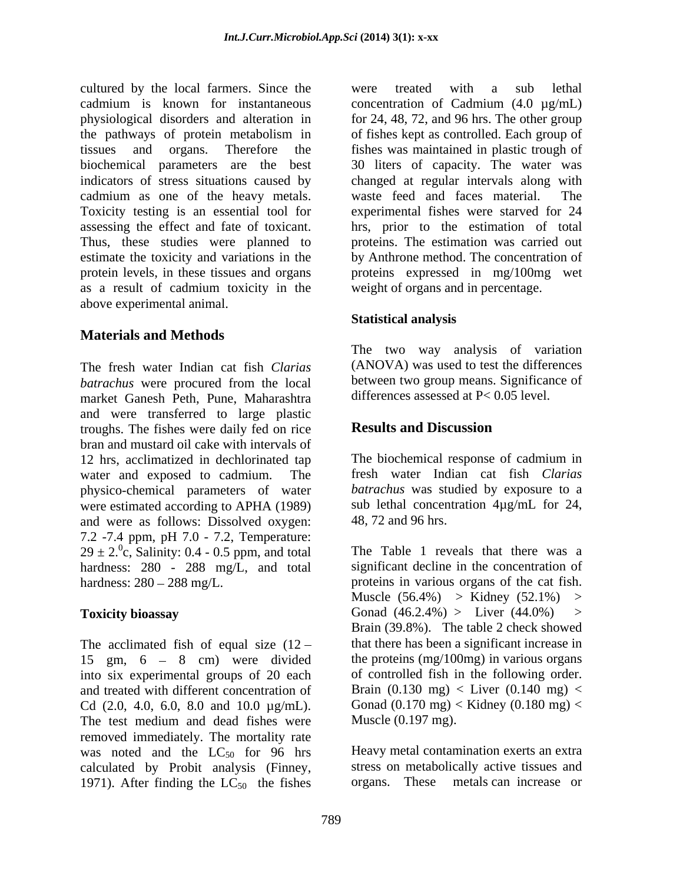cultured by the local farmers. Since the were treated with a sub lethal cadmium is known for instantaneous concentration of Cadmium (4.0 µg/mL) physiological disorders and alteration in for 24, 48, 72, and 96 hrs. The other group the pathways of protein metabolism in of fishes kept as controlled. Each group of tissues and organs. Therefore the fishes was maintained in plastic trough of biochemical parameters are the best 30 liters of capacity. The water was indicators of stress situations caused by changed at regular intervals along with cadmium as one of the heavy metals. Toxicity testing is an essential tool for experimental fishes were starved for 24 assessing the effect and fate of toxicant. hrs, prior to the estimation of total Thus, these studies were planned to estimate the toxicity and variations in the protein levels, in these tissues and organs proteins expressed in mg/100mg wet as a result of cadmium toxicity in the above experimental animal.

# **Materials and Methods**

The fresh water Indian cat fish *Clarias batrachus* were procured from the local between two group means. Significance of market Ganesh Peth, Pune, Maharashtra and were transferred to large plastic troughs. The fishes were daily fed on rice **Results and Discussion** bran and mustard oil cake with intervals of 12 hrs, acclimatized in dechlorinated tap water and exposed to cadmium. The physico-chemical parameters of water were estimated according to APHA (1989) and were as follows: Dissolved oxygen: 7.2 -7.4 ppm, pH 7.0 - 7.2, Temperature:  $29 \pm 2.$ <sup>0</sup>c, Salinity: 0.4 - 0.5 ppm, and total The Table 1 reveals that there was a hardness: 280 - 288 mg/L, and total hardness:  $280 - 288$  mg/L. proteins in various organs of the cat fish.

The acclimated fish of equal size  $(12 -$ 15 gm,  $6 - 8$  cm) were divided the proteins (mg/100mg) in various organs into six experimental groups of 20 each of controlled fish in the following order. and treated with different concentration of Cd  $(2.0, 4.0, 6.0, 8.0, 8.0, 10.0 \mu g/mL)$ . The test medium and dead fishes were removed immediately. The mortality rate was noted and the  $LC_{50}$  for 96 hrs calculated by Probit analysis (Finney, 1971). After finding the  $LC_{50}$  the fishes organs. These

were treated with a sub lethal waste feed and faces material. proteins. The estimation was carried out by Anthrone method. The concentration of weight of organs and in percentage.

## **Statistical analysis**

The two way analysis of variation (ANOVA) was used to test the differences between two group means. Significance of differences assessed at P< 0.05 level.

## **Results and Discussion**

The biochemical response of cadmium in fresh water Indian cat fish *Clarias batrachus* was studied by exposure to a sub lethal concentration 4µg/mL for 24, 48, 72 and 96 hrs.

**Toxicity bioassay** Gonad (46.2.4%) > Liver (44.0%) > The Table 1 reveals that there was a significant decline in the concentration of Muscle  $(56.4\%)$  > Kidney  $(52.1\%)$  > Brain (39.8%). The table 2 check showed that there has been a significant increase in the proteins (mg/100mg) in various organs of controlled fish in the following order. Brain  $(0.130 \text{ mg}) <$  Liver  $(0.140 \text{ mg}) <$ Gonad  $(0.170 \text{ mg}) <$  Kidney  $(0.180 \text{ mg}) <$ Muscle (0.197 mg).

> Heavy metal contamination exerts an extra stress on metabolically active tissues and metals can increase or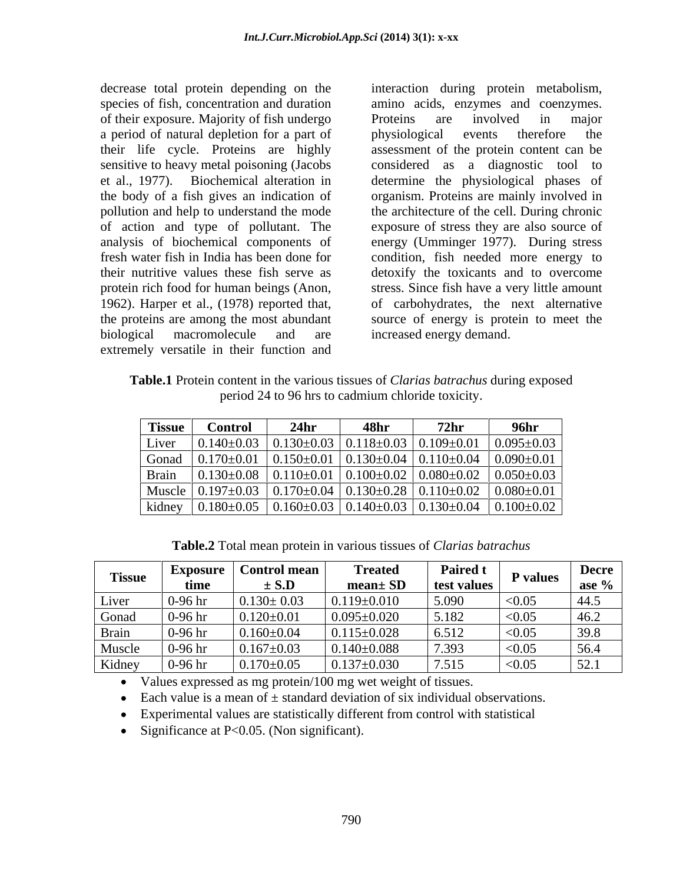of their exposure. Majority of fish undergo a period of natural depletion for a part of physiological events therefore the sensitive to heavy metal poisoning (Jacobs protein rich food for human beings (Anon, 1962). Harper et al., (1978) reported that, biological macromolecule and are increased-energy-demand. extremely versatile in their function and

decrease total protein depending on the interaction during protein metabolism, species of fish, concentration and duration amino acids, enzymes and coenzymes. their life cycle. Proteins are highly assessment of the protein content can be et al., 1977). Biochemical alteration in determine the physiological phases of the body of a fish gives an indication of organism. Proteins are mainly involved in pollution and help to understand the mode the architecture of the cell. During chronic of action and type of pollutant.The exposure of stress they are also source of analysis of biochemical components of energy (Umminger 1977). During stress fresh water fish in India has been done for condition, fish needed more energy to their nutritive values these fish serve as detoxify the toxicants and to overcome the proteins are among the most abundant source of energy is protein to meet the Proteins are involved in major physiological events therefore the considered as a diagnostic tool to stress. Since fish have a very little amount of carbohydrates, the next alternative increased energy demand.

**Table.1** Protein content in the various tissues of *Clarias batrachus* during exposed period 24 to 96 hrs to cadmium chloride toxicity.

| <b>Tissue</b> | Control            | 24 <sub>h</sub> | 48h. | 72 <sub>hr</sub>                                                       | 96hr             |
|---------------|--------------------|-----------------|------|------------------------------------------------------------------------|------------------|
| Liver         | $0.140 \pm 0.03$   |                 |      | $0.130\pm0.03$   $0.118\pm0.03$   $0.109\pm0.01$   $0.095\pm0.03$      |                  |
| Gonad         | −170±0.01.ر        |                 |      | $0.150\pm0.01$   $0.130\pm0.04$   $0.110\pm0.04$   $0.090\pm0.01$      |                  |
| Brain         | $0.130{\pm}0.08$   | $.110\pm0.01$   |      | $\vert 0.100 \pm 0.02 \vert 0.080 \pm 0.02 \vert 0.050 \pm 0.03 \vert$ |                  |
| Muscle        | $0.197 \pm 0.03$   |                 |      | $0.170\pm0.04$   $0.130\pm0.28$   $0.110\pm0.02$                       | $0.080 \pm 0.01$ |
| kidney        | $0.180 {\pm} 0.05$ |                 |      | $0.160\pm0.03$   $0.140\pm0.03$   $0.130\pm0.04$   $0.100\pm0.02$      |                  |

|  | $\sim$   Exposure   Control mean                                                                                                                                     | <b>Treated</b> |        | $\begin{array}{c c c} \text{Paired t} & \text{P values} & \text{Decre} \\ \text{test values} & \text{P values} & \text{ase } \% \end{array}$ |
|--|----------------------------------------------------------------------------------------------------------------------------------------------------------------------|----------------|--------|----------------------------------------------------------------------------------------------------------------------------------------------|
|  |                                                                                                                                                                      |                |        |                                                                                                                                              |
|  | Liver   0-96 hr   $0.130 \pm 0.03$   $0.119 \pm 0.010$   $5.090$   <0.05                                                                                             |                |        | 44.5                                                                                                                                         |
|  | Gonad $\begin{array}{ l} \n\end{array}$ 0-96 hr $\begin{array}{ l} \n0.120 \pm 0.01 \n\end{array}$ 0.095 $\pm$ 0.020 $\begin{array}{ l} \n5.182 \n\end{array}$ <0.05 |                |        | 146.2                                                                                                                                        |
|  | Brain $0.96 \text{ hr}$ $0.160 \pm 0.04$ $0.115 \pm 0.028$ $6.512$ $< 0.05$                                                                                          |                |        | 39.8                                                                                                                                         |
|  | Muscle $\begin{array}{ l}$ 0-96 hr $\begin{array}{ l}$ 0.167±0.03 $\end{array}$ 0.140±0.088                                                                          |                | < 0.05 | $\frac{56.4}{ }$                                                                                                                             |
|  | Kidney   0-96 hr   0.170 $\pm$ 0.05   0.137 $\pm$ 0.030   7.515   <0.05   52.1                                                                                       |                |        |                                                                                                                                              |

Values expressed as mg protein/100 mg wet weight of tissues.

Each value is a mean of  $\pm$  standard deviation of six individual observations.

Experimental values are statistically different from control with statistical

• Significance at  $P<0.05$ . (Non significant).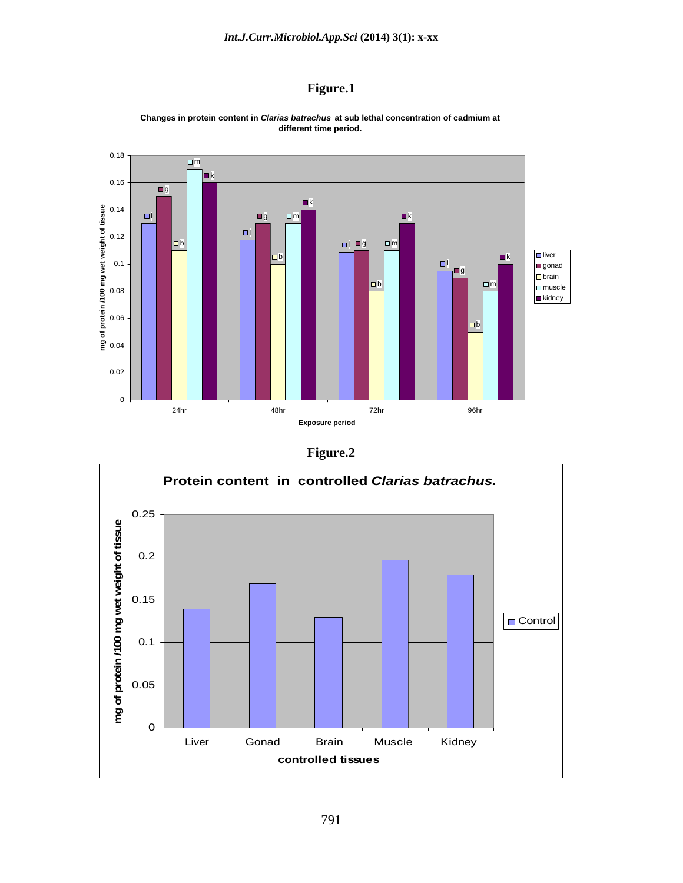### **Figure.1**



**Changes in protein content in Clarias batrachus at sub lethal concentration of cadmium at different time period.** 

### **Figure.2**

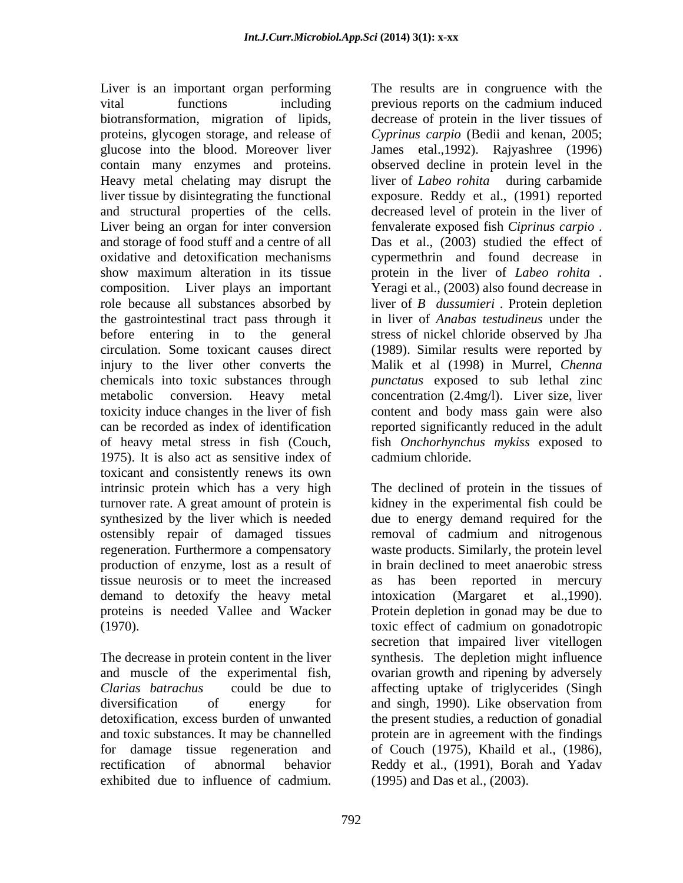Liver is an important organ performing The results are in congruence with the vital functions including previous reports on the cadmium induced biotransformation, migration of lipids, decrease of protein in the liver tissues of proteins, glycogen storage, and release of *Cyprinus carpio* (Bedii and kenan, 2005; glucose into the blood. Moreover liver James etal.,1992). Rajyashree (1996) contain many enzymes and proteins. observed decline in protein level in the Heavy metal chelating may disrupt the liver of *Labeo rohita* during carbamide liver tissue by disintegrating the functional exposure. Reddy et al., (1991) reported and structural properties of the cells. decreased level of protein in the liver of Liver being an organ for inter conversion fenvalerate exposed fish Ciprinus carpio. and storage of food stuff and a centre of all Das et al., (2003) studied the effect of oxidative and detoxification mechanisms cypermethrin and found decrease in show maximum alteration in its tissue protein in the liver of *Labeo rohita* . composition. Liver plays an important Yeragi et al., (2003) also found decrease in role because all substances absorbed by liver of *B dussumieri .* Protein depletion the gastrointestinal tract pass through it in liver of *Anabas testudineus* under the before entering in to the general stressof nickel chloride observed by Jha circulation. Some toxicant causes direct (1989). Similar results were reported by injury to the liver other converts the chemicals into toxic substances through *punctatus* exposed to sub lethal zinc metabolic conversion. Heavy metal concentration (2.4mg/l). Liver size, liver toxicity induce changes in the liver of fish content and body mass gain were also can be recorded as index of identification reported significantly reduced in the adult of heavy metal stress in fish (Couch, fish *Onchorhynchus mykiss* exposed to 1975). It is also act as sensitive index of toxicant and consistently renews its own intrinsic protein which has a very high The declined of protein in the tissues of turnover rate. A great amount of protein is kidney in the experimental fish could be synthesized by the liver which is needed due to energy demand required for the ostensibly repair of damaged tissues removal of cadmium and nitrogenous regeneration. Furthermore a compensatory waste products. Similarly, the protein level production of enzyme, lost as a result of tissue neurosis or to meet the increased demand to detoxify the heavy metal intoxication (Margaret et al., 1990). proteins is needed Vallee and Wacker (1970). toxic effect of cadmium on gonadotropic Ever is an inoperator ogen performing. The results are in compute with the carbitrary in the sected of proteins the inter two<br>stationary in the results are in congruence of profession and the results are inter-ties<br>profess

for damage tissue regeneration and

fenvalerate exposed fish *Ciprinuscarpio* . Das et al., (2003) studied the effect of Malik et al (1998) in Murrel, *Chenna*  cadmium chloride.

The decrease in protein content in the liver synthesis. The depletion might influence and muscle of the experimental fish, ovarian growth and ripening by adversely *Clarias batrachus* could be due to affecting uptake of triglycerides (Singh diversification of energy for and singh, 1990). Like observation from detoxification, excess burden of unwanted the present studies, a reduction of gonadial and toxic substances. It may be channelled protein are in agreement with the findings rectification of abnormal behavior Reddy et al., (1991), Borah and Yadav in brain declined to meet anaerobic stress has been reported in mercury intoxication (Margaret et al.,1990). Protein depletion in gonad may be due to toxic effect of cadmium on gonadotropic secretion that impaired liver vitellogen of Couch (1975), Khaild et al., (1986), (1995) and Das et al., (2003).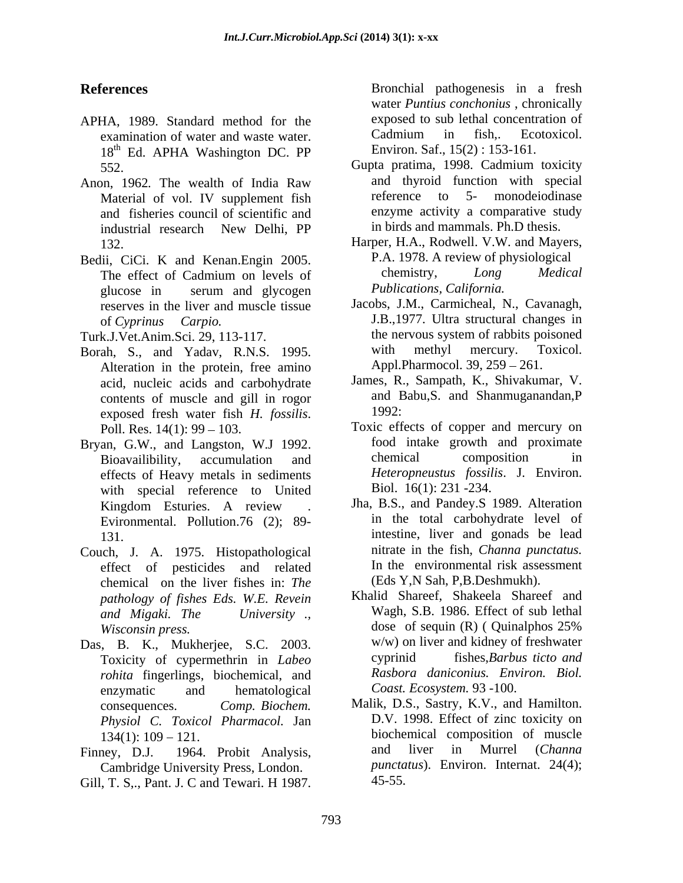- APHA, 1989. Standard method for the exposed to sub lethal concentration of examination of water and waste water Cadmium in fish.. Ecotoxicol. examination of water and waste water. 18<sup>th</sup> Ed. APHA Washington DC. PP Environ. Saf., 15(2): 153-161.
- Anon, 1962. The wealth of India Raw and thyroid function with special<br>Material of vol. IV supplement fish reference to 5- monodeiodinase and fisheries council of scientific and
- Bedii, CiCi. K and Kenan.Engin 2005. P.A. 1978. A review of physiological<br>The effect of Cadmium on levels of the chemistry, Long Medical glucose in serum and glycogen *Publications, California*. reserves in the liver and muscle tissue

- Borah, S., and Yadav, R.N.S. 1995. Alteration in the protein, free amino acid, nucleic acids and carbohydrate contents of muscle and gill in rogor and  $\frac{1992}{2}$ exposed fresh water fish *H. fossilis*. <sup>1992:</sup><br>Poll. Res. 14(1): 99 – 103. Toxic effects of copper and mercury on
- Bryan, G.W., and Langston, W.J 1992. food intake growth and proximate<br>Rioavailibility accumulation and chemical composition in effects of Heavy metals in sediments with special reference to United Evironmental. Pollution.76 (2); 89- **References**<br> **References Examples Examples Examples Examples Examples Examples Examples Examples Examples Examples Examples Examples Examples Examples Examples Examples Examples Examp**
- Couch, J. A. 1975. Histopathological effect of pesticides and related chemical on the liver fishes in: *The pathology of fishes Eds. W.E. Revein*
- Das, B. K., Mukherjee, S.C. 2003. w/w) on liver and kidney of freshwater<br>Toxicity of cypermethrin in *Labeo* cyprinid fishes. Barbus ticto and Toxicity of cypermethrin in *Labeo rohita* fingerlings, biochemical, and enzymatic and hematological Coast. Ecosystem. 93 -100. *Physiol C. Toxicol Pharmacol.* Jan
- Cambridge University Press, London.
- 

**References Exercíal Bronchial** pathogenesis in a fresh water *Puntius conchonius* , chronically exposed to sub lethal concentration of Cadmium in fish,. Ecotoxicol. Environ. Saf., 15(2) : 153-161.

- 552. Gupta pratima, 1998. Cadmium toxicity Material of vol. IV supplement fish reference to 5- monodeiodinase industrial research New Delhi, PP and thyroid function with special reference to 5- monodeiodinase enzyme activity a comparative study in birds and mammals. Ph.D thesis.
- 132. Harper, H.A., Rodwell. V.W. and Mayers, The effect of Cadmium on levels of chemistry, Long Medical P.A. 1978. A review of physiological chemistry, *Long Medical Publications, California.*
- of *Cyprinus Carpio.* J.B.,1977. Ultra structural changes in Turk.J.Vet.Anim.Sci. 29, 113-117. the nervous system of rabbits poisoned<br>Borah. S., and Yadav. R.N.S. 1995. with methyl mercury. Toxicol. Jacobs, J.M., Carmicheal, N., Cavanagh, the nervous system of rabbits poisoned with methyl mercury. Toxicol. Appl.Pharmocol. 39, 259 – 261.
	- James, R., Sampath, K., Shivakumar, V. and Babu,S. and Shanmuganandan,P 1992:
	- Bioavailibility, accumulation and chemical composition in Toxic effects of copper and mercury on food intake growth and proximate chemical composition in *Heteropneustus fossilis*. J. Environ. Biol. 16(1): 231 -234.
	- Kingdom Esturies. A review . Jha, B.S., and Pandey.S 1989. Alteration 131. intestine, liver and gonads be lead Jha, B.S., and Pandey.S 1989. Alteration in the total carbohydrate level of nitrate in the fish, *Channa punctatus.* In the environmental risk assessment (Eds Y,N Sah, P,B.Deshmukh).
	- *and Migaki. The University .,* Wagh, S.B. 1986. Effect of sub lethal *Wisconsin press.* dose of sequin (R) ( Quinalphos 25% Khalid Shareef, Shakeela Shareef and dose of sequin (R) ( Quinalphos 25% w/w) on liver and kidney of freshwater cyprinid fishes,*Barbus ticto and Rasbora daniconius. Environ. Biol. Coast. Ecosystem.* 93 -100.
- consequences. *Comp. Biochem.* Malik, D.S., Sastry, K.V., and Hamilton. 134(1): 109 – 121. biochemical composition of muscle Finney, D.J. 1964. Probit Analysis, and liver in Murrel (Channa D.V. 1998. Effect of zinc toxicity on and liver in Murrel (*Channa punctatus*). Environ. Internat. 24(4); 45-55.